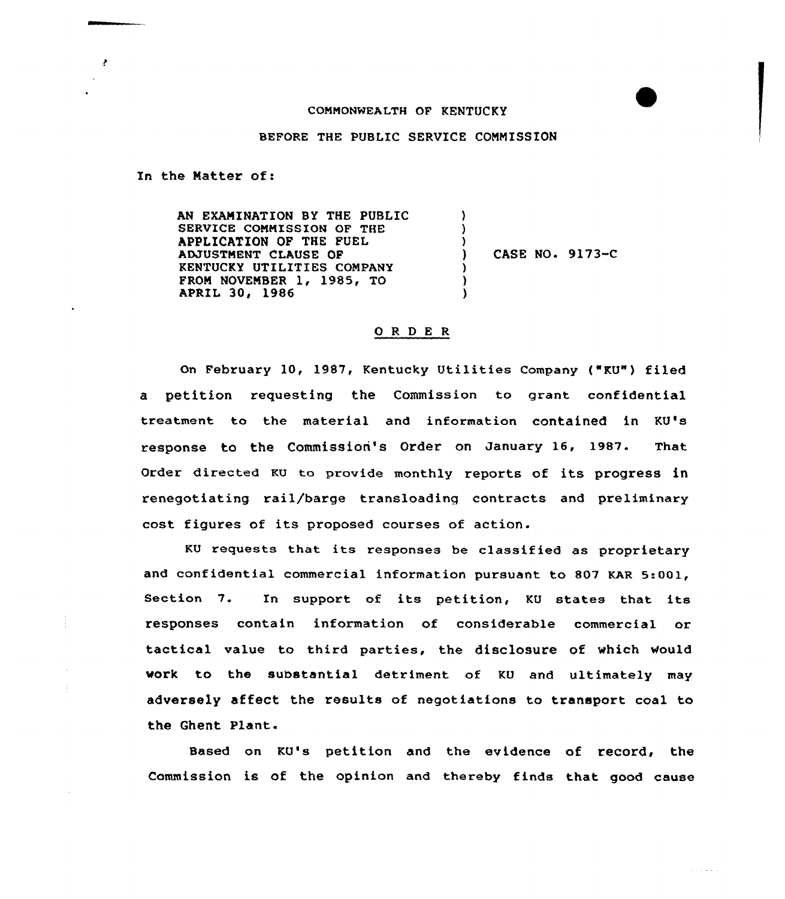## COMMONWEALTH OF KENTUCKY

## BEFORE THE PUBLIC SERVICE COMMISSION

In the Natter of:

AN EXAMINATION BY THE PUBLIC SERVICE COMMISSION OF THE APPLICATION OF THE FUEL ADJUSTMENT CLAUSE OF KENTUCKY UTILITIES COMPANY FROM NOVEMBER 1, 1985, TO **APRIL 30, 1986** ) )  $\left\{ \right\}$ ) CASE NO. 9173-C ) ) )

## ORDER

On February 10, 1987, Kentucky Utilities Company ("KU") filed a petition requesting the Commission to grant confidential treatment to the material and information contained in KU's response to the Commission's Order on January 16, 1987. That order directed KU to provide monthly reports of its progress in renegotiating rail/barge transloading contracts and preliminary cost figures of its proposed courses of action.

KU requests that its responses be classified as proprietary and confidential commercial information pursuant to 807 KAR 5:001, Section 7. In support of its petition, KU states that its responses contain information of considerable commercial or tactical value to third parties, the disclosure of which Would work to the substantial detriment of KU and ultimately may adversely affect the results of negotiations to transport coal to the Ghent Plant.

Based on KU's petition and the evidence of record, the Commission is of the opinion and thereby finds that good cause